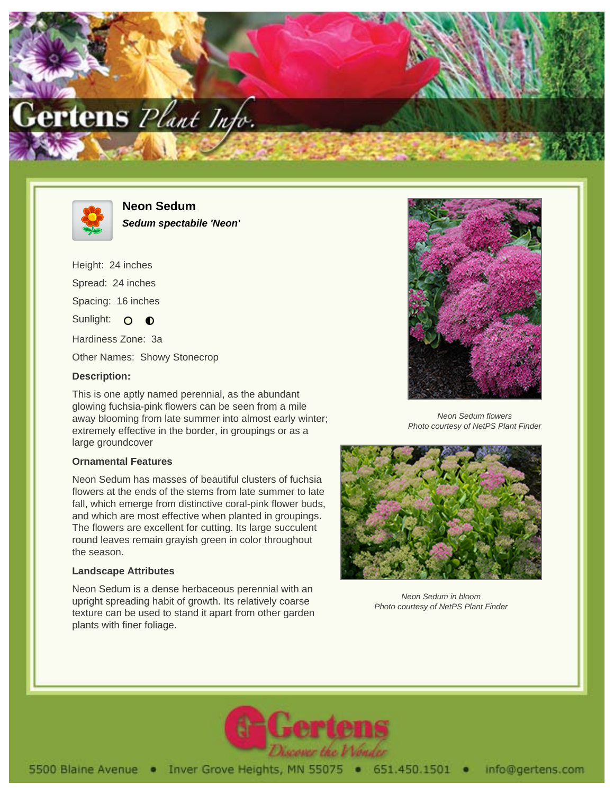



**Neon Sedum Sedum spectabile 'Neon'**

Height: 24 inches Spread: 24 inches Spacing: 16 inches Sunlight: O **O** Hardiness Zone: 3a Other Names: Showy Stonecrop

## **Description:**

This is one aptly named perennial, as the abundant glowing fuchsia-pink flowers can be seen from a mile away blooming from late summer into almost early winter; extremely effective in the border, in groupings or as a large groundcover

## **Ornamental Features**

Neon Sedum has masses of beautiful clusters of fuchsia flowers at the ends of the stems from late summer to late fall, which emerge from distinctive coral-pink flower buds, and which are most effective when planted in groupings. The flowers are excellent for cutting. Its large succulent round leaves remain grayish green in color throughout the season.

## **Landscape Attributes**

Neon Sedum is a dense herbaceous perennial with an upright spreading habit of growth. Its relatively coarse texture can be used to stand it apart from other garden plants with finer foliage.



Neon Sedum flowers Photo courtesy of NetPS Plant Finder



Neon Sedum in bloom Photo courtesy of NetPS Plant Finder